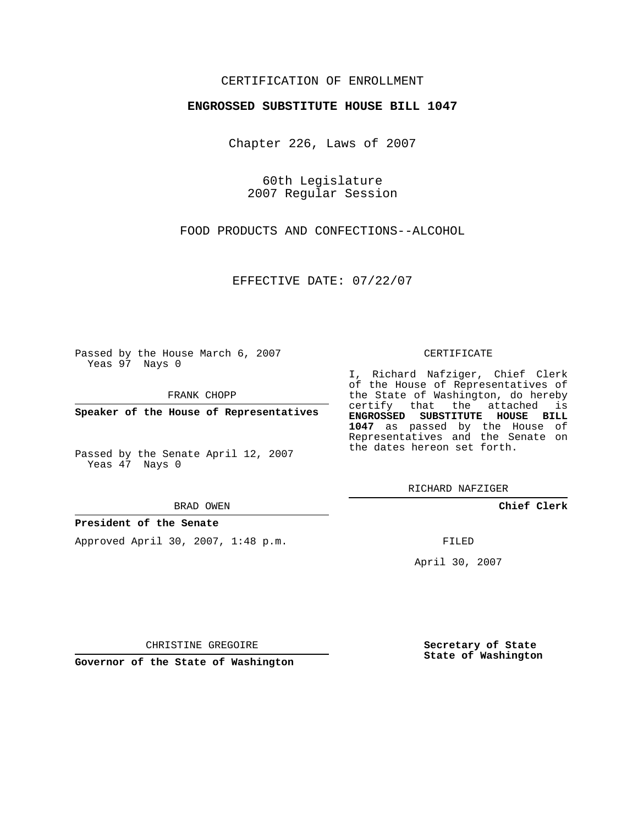# CERTIFICATION OF ENROLLMENT

### **ENGROSSED SUBSTITUTE HOUSE BILL 1047**

Chapter 226, Laws of 2007

60th Legislature 2007 Regular Session

FOOD PRODUCTS AND CONFECTIONS--ALCOHOL

EFFECTIVE DATE: 07/22/07

Passed by the House March 6, 2007 Yeas 97 Nays 0

FRANK CHOPP

**Speaker of the House of Representatives**

Passed by the Senate April 12, 2007 Yeas 47 Nays 0

BRAD OWEN

### **President of the Senate**

Approved April 30, 2007, 1:48 p.m.

#### CERTIFICATE

I, Richard Nafziger, Chief Clerk of the House of Representatives of the State of Washington, do hereby certify that the attached is **ENGROSSED SUBSTITUTE HOUSE BILL 1047** as passed by the House of Representatives and the Senate on the dates hereon set forth.

**Chief Clerk**

FILED

April 30, 2007

CHRISTINE GREGOIRE

**Governor of the State of Washington**

**Secretary of State State of Washington**

RICHARD NAFZIGER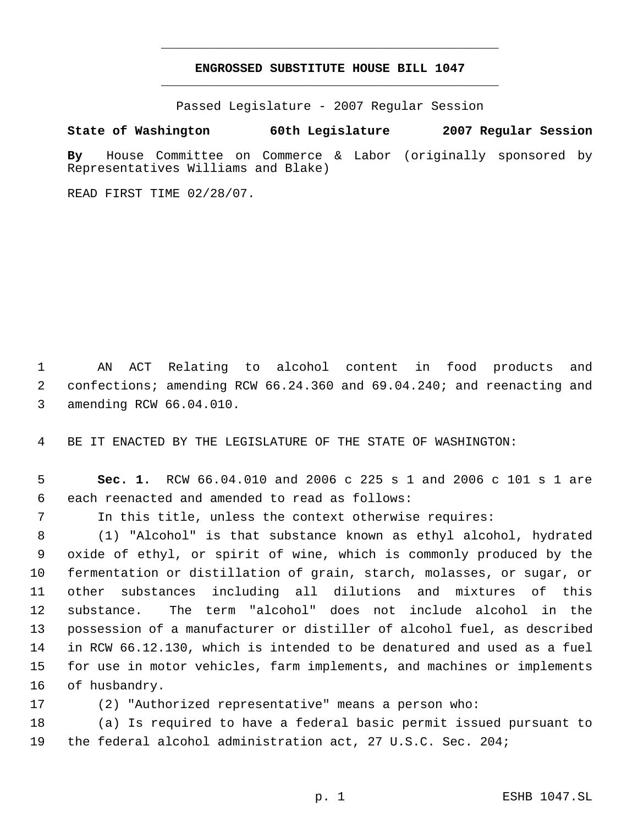# **ENGROSSED SUBSTITUTE HOUSE BILL 1047** \_\_\_\_\_\_\_\_\_\_\_\_\_\_\_\_\_\_\_\_\_\_\_\_\_\_\_\_\_\_\_\_\_\_\_\_\_\_\_\_\_\_\_\_\_

\_\_\_\_\_\_\_\_\_\_\_\_\_\_\_\_\_\_\_\_\_\_\_\_\_\_\_\_\_\_\_\_\_\_\_\_\_\_\_\_\_\_\_\_\_

Passed Legislature - 2007 Regular Session

## **State of Washington 60th Legislature 2007 Regular Session**

**By** House Committee on Commerce & Labor (originally sponsored by Representatives Williams and Blake)

READ FIRST TIME 02/28/07.

 AN ACT Relating to alcohol content in food products and confections; amending RCW 66.24.360 and 69.04.240; and reenacting and amending RCW 66.04.010.

BE IT ENACTED BY THE LEGISLATURE OF THE STATE OF WASHINGTON:

 **Sec. 1.** RCW 66.04.010 and 2006 c 225 s 1 and 2006 c 101 s 1 are each reenacted and amended to read as follows:

In this title, unless the context otherwise requires:

 (1) "Alcohol" is that substance known as ethyl alcohol, hydrated oxide of ethyl, or spirit of wine, which is commonly produced by the fermentation or distillation of grain, starch, molasses, or sugar, or other substances including all dilutions and mixtures of this substance. The term "alcohol" does not include alcohol in the possession of a manufacturer or distiller of alcohol fuel, as described in RCW 66.12.130, which is intended to be denatured and used as a fuel for use in motor vehicles, farm implements, and machines or implements of husbandry.

(2) "Authorized representative" means a person who:

 (a) Is required to have a federal basic permit issued pursuant to the federal alcohol administration act, 27 U.S.C. Sec. 204;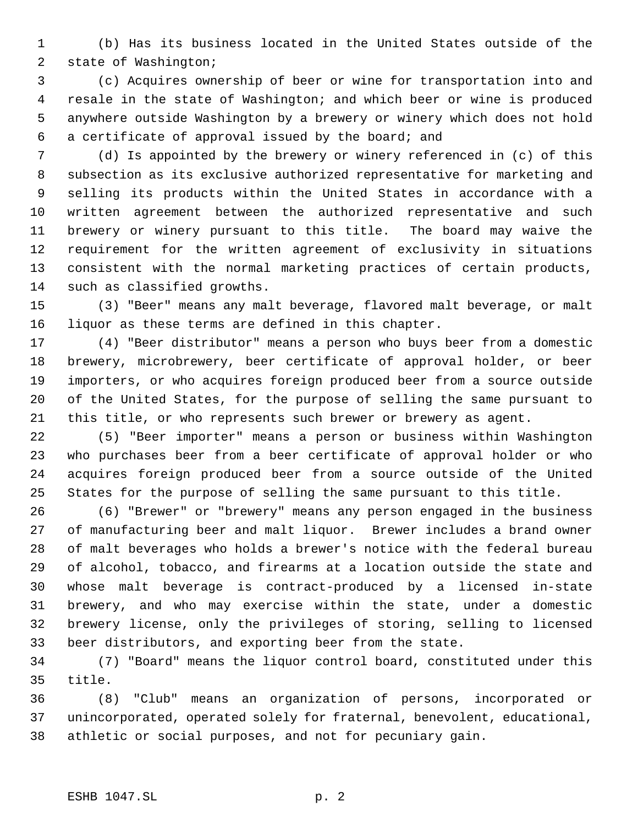(b) Has its business located in the United States outside of the state of Washington;

 (c) Acquires ownership of beer or wine for transportation into and resale in the state of Washington; and which beer or wine is produced anywhere outside Washington by a brewery or winery which does not hold a certificate of approval issued by the board; and

 (d) Is appointed by the brewery or winery referenced in (c) of this subsection as its exclusive authorized representative for marketing and selling its products within the United States in accordance with a written agreement between the authorized representative and such brewery or winery pursuant to this title. The board may waive the requirement for the written agreement of exclusivity in situations consistent with the normal marketing practices of certain products, such as classified growths.

 (3) "Beer" means any malt beverage, flavored malt beverage, or malt liquor as these terms are defined in this chapter.

 (4) "Beer distributor" means a person who buys beer from a domestic brewery, microbrewery, beer certificate of approval holder, or beer importers, or who acquires foreign produced beer from a source outside of the United States, for the purpose of selling the same pursuant to this title, or who represents such brewer or brewery as agent.

 (5) "Beer importer" means a person or business within Washington who purchases beer from a beer certificate of approval holder or who acquires foreign produced beer from a source outside of the United States for the purpose of selling the same pursuant to this title.

 (6) "Brewer" or "brewery" means any person engaged in the business of manufacturing beer and malt liquor. Brewer includes a brand owner of malt beverages who holds a brewer's notice with the federal bureau of alcohol, tobacco, and firearms at a location outside the state and whose malt beverage is contract-produced by a licensed in-state brewery, and who may exercise within the state, under a domestic brewery license, only the privileges of storing, selling to licensed beer distributors, and exporting beer from the state.

 (7) "Board" means the liquor control board, constituted under this title.

 (8) "Club" means an organization of persons, incorporated or unincorporated, operated solely for fraternal, benevolent, educational, athletic or social purposes, and not for pecuniary gain.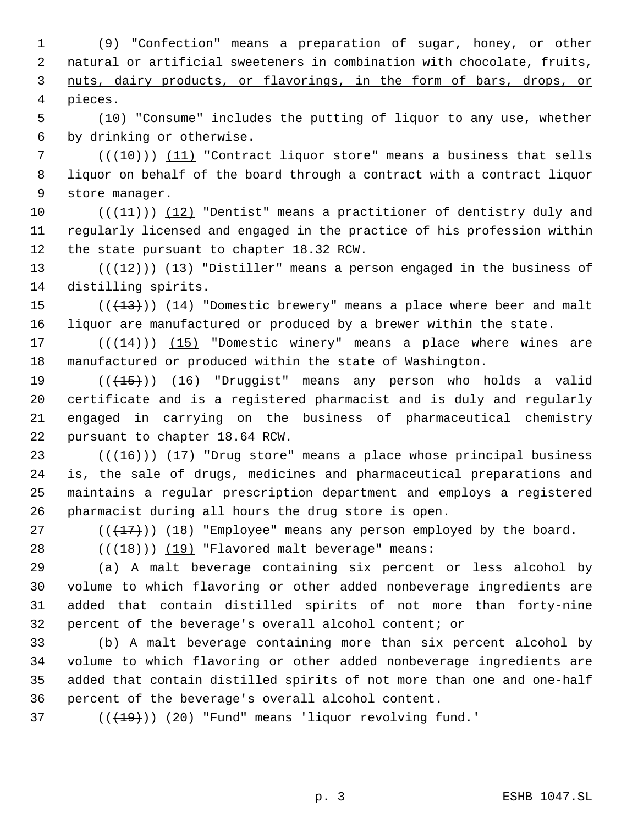(9) "Confection" means a preparation of sugar, honey, or other 2 natural or artificial sweeteners in combination with chocolate, fruits, nuts, dairy products, or flavorings, in the form of bars, drops, or pieces.

 (10) "Consume" includes the putting of liquor to any use, whether by drinking or otherwise.

 ( $(\overline{+10})$ )  $(11)$  "Contract liquor store" means a business that sells liquor on behalf of the board through a contract with a contract liquor store manager.

 $((+11))$  (12) "Dentist" means a practitioner of dentistry duly and regularly licensed and engaged in the practice of his profession within the state pursuant to chapter 18.32 RCW.

13 ( $(\frac{12}{12})$ ) (13) "Distiller" means a person engaged in the business of distilling spirits.

15  $((+13))$   $(14)$  "Domestic brewery" means a place where beer and malt liquor are manufactured or produced by a brewer within the state.

17 (( $(14)$ )) (15) "Domestic winery" means a place where wines are manufactured or produced within the state of Washington.

19 (((15))) (16) "Druggist" means any person who holds a valid certificate and is a registered pharmacist and is duly and regularly engaged in carrying on the business of pharmaceutical chemistry pursuant to chapter 18.64 RCW.

23 ( $(\overline{+16})$ )  $\overline{17}$  "Drug store" means a place whose principal business is, the sale of drugs, medicines and pharmaceutical preparations and maintains a regular prescription department and employs a registered pharmacist during all hours the drug store is open.

27 ( $(\{\pm 7\})$ ) (18) "Employee" means any person employed by the board.

28  $((+18))$   $(19)$  "Flavored malt beverage" means:

 (a) A malt beverage containing six percent or less alcohol by volume to which flavoring or other added nonbeverage ingredients are added that contain distilled spirits of not more than forty-nine percent of the beverage's overall alcohol content; or

 (b) A malt beverage containing more than six percent alcohol by volume to which flavoring or other added nonbeverage ingredients are added that contain distilled spirits of not more than one and one-half percent of the beverage's overall alcohol content.

( $(\overline{+19})$ )  $(20)$  "Fund" means 'liquor revolving fund.'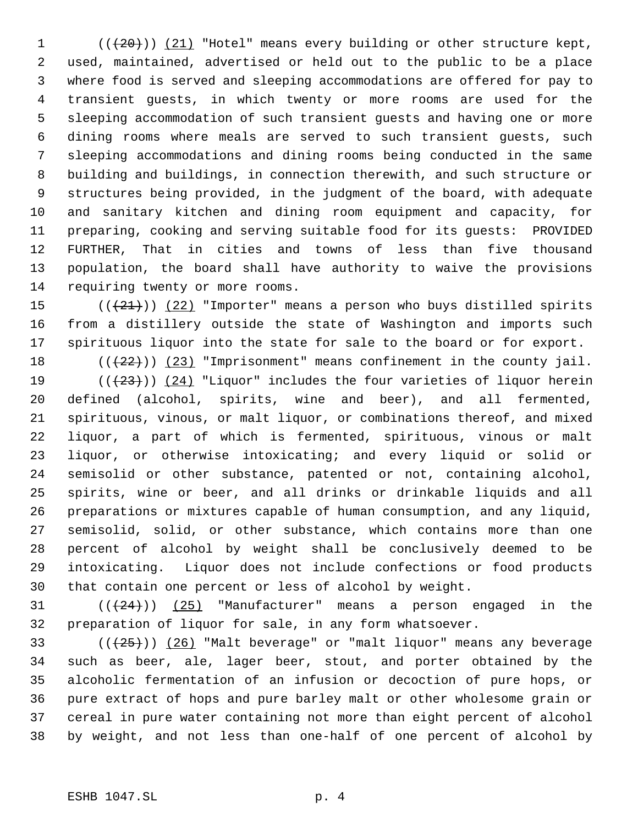(( $(20)$ )) (21) "Hotel" means every building or other structure kept, used, maintained, advertised or held out to the public to be a place where food is served and sleeping accommodations are offered for pay to transient guests, in which twenty or more rooms are used for the sleeping accommodation of such transient guests and having one or more dining rooms where meals are served to such transient guests, such sleeping accommodations and dining rooms being conducted in the same building and buildings, in connection therewith, and such structure or structures being provided, in the judgment of the board, with adequate and sanitary kitchen and dining room equipment and capacity, for preparing, cooking and serving suitable food for its guests: PROVIDED FURTHER, That in cities and towns of less than five thousand population, the board shall have authority to waive the provisions requiring twenty or more rooms.

15  $((+21))$   $(22)$  "Importer" means a person who buys distilled spirits from a distillery outside the state of Washington and imports such spirituous liquor into the state for sale to the board or for export.

18  $((+22))$   $(23)$  "Imprisonment" means confinement in the county jail.

 $((+23))$   $(24)$  "Liquor" includes the four varieties of liquor herein defined (alcohol, spirits, wine and beer), and all fermented, spirituous, vinous, or malt liquor, or combinations thereof, and mixed liquor, a part of which is fermented, spirituous, vinous or malt liquor, or otherwise intoxicating; and every liquid or solid or semisolid or other substance, patented or not, containing alcohol, spirits, wine or beer, and all drinks or drinkable liquids and all preparations or mixtures capable of human consumption, and any liquid, semisolid, solid, or other substance, which contains more than one percent of alcohol by weight shall be conclusively deemed to be intoxicating. Liquor does not include confections or food products that contain one percent or less of alcohol by weight.

 $((24))$   $(25)$  "Manufacturer" means a person engaged in the preparation of liquor for sale, in any form whatsoever.

 $((+25))$   $(26)$  "Malt beverage" or "malt liquor" means any beverage such as beer, ale, lager beer, stout, and porter obtained by the alcoholic fermentation of an infusion or decoction of pure hops, or pure extract of hops and pure barley malt or other wholesome grain or cereal in pure water containing not more than eight percent of alcohol by weight, and not less than one-half of one percent of alcohol by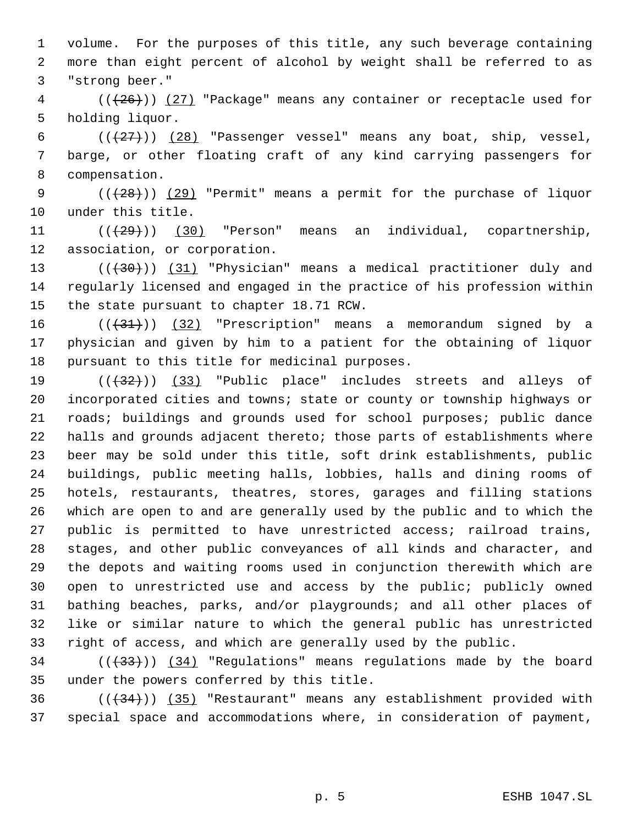volume. For the purposes of this title, any such beverage containing more than eight percent of alcohol by weight shall be referred to as "strong beer."

4 (( $(26)$ )) (27) "Package" means any container or receptacle used for holding liquor.

6  $((+27))$   $(28)$  "Passenger vessel" means any boat, ship, vessel, barge, or other floating craft of any kind carrying passengers for compensation.

9  $((+28))$  (29) "Permit" means a permit for the purchase of liquor under this title.

 $((29))$  (30) "Person" means an individual, copartnership, association, or corporation.

13 (((430)) (31) "Physician" means a medical practitioner duly and regularly licensed and engaged in the practice of his profession within the state pursuant to chapter 18.71 RCW.

 $((+31))$   $(32)$  "Prescription" means a memorandum signed by a physician and given by him to a patient for the obtaining of liquor pursuant to this title for medicinal purposes.

 $((+32))$   $(33)$  "Public place" includes streets and alleys of incorporated cities and towns; state or county or township highways or roads; buildings and grounds used for school purposes; public dance halls and grounds adjacent thereto; those parts of establishments where beer may be sold under this title, soft drink establishments, public buildings, public meeting halls, lobbies, halls and dining rooms of hotels, restaurants, theatres, stores, garages and filling stations which are open to and are generally used by the public and to which the public is permitted to have unrestricted access; railroad trains, stages, and other public conveyances of all kinds and character, and the depots and waiting rooms used in conjunction therewith which are 30 open to unrestricted use and access by the public; publicly owned bathing beaches, parks, and/or playgrounds; and all other places of like or similar nature to which the general public has unrestricted right of access, and which are generally used by the public.

 $(1,33)$  ( $(34)$  "Regulations" means regulations made by the board under the powers conferred by this title.

 ( $(\frac{34}{})$ ) ( $35$ ) "Restaurant" means any establishment provided with special space and accommodations where, in consideration of payment,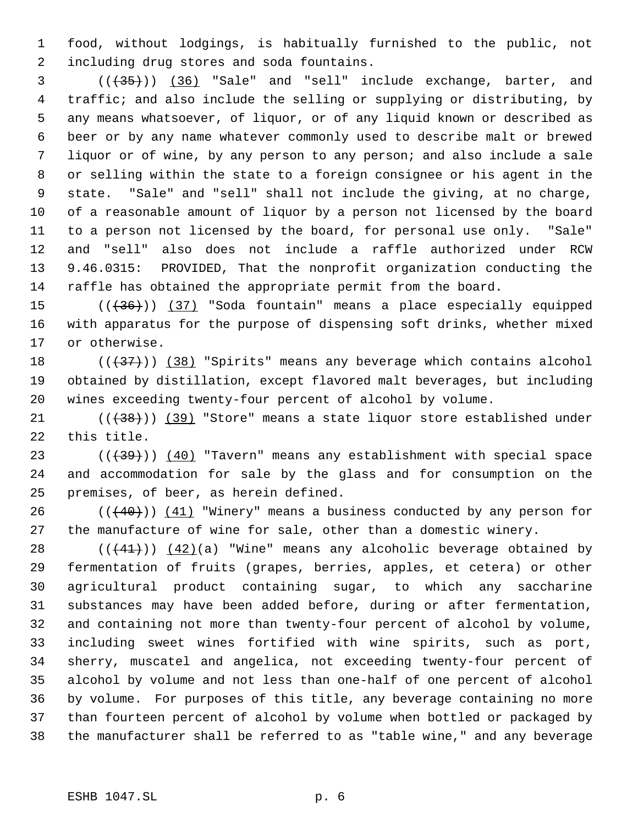food, without lodgings, is habitually furnished to the public, not including drug stores and soda fountains.

 (((35))) (36) "Sale" and "sell" include exchange, barter, and traffic; and also include the selling or supplying or distributing, by any means whatsoever, of liquor, or of any liquid known or described as beer or by any name whatever commonly used to describe malt or brewed liquor or of wine, by any person to any person; and also include a sale or selling within the state to a foreign consignee or his agent in the state. "Sale" and "sell" shall not include the giving, at no charge, of a reasonable amount of liquor by a person not licensed by the board to a person not licensed by the board, for personal use only. "Sale" and "sell" also does not include a raffle authorized under RCW 9.46.0315: PROVIDED, That the nonprofit organization conducting the raffle has obtained the appropriate permit from the board.

15 (( $(36)$ )) (37) "Soda fountain" means a place especially equipped with apparatus for the purpose of dispensing soft drinks, whether mixed or otherwise.

18  $((+37))$   $(38)$  "Spirits" means any beverage which contains alcohol obtained by distillation, except flavored malt beverages, but including wines exceeding twenty-four percent of alcohol by volume.

21 (( $(38)$ )) (39) "Store" means a state liquor store established under this title.

23 (((39))) (40) "Tavern" means any establishment with special space and accommodation for sale by the glass and for consumption on the premises, of beer, as herein defined.

 $((+40))$   $(41)$  "Winery" means a business conducted by any person for the manufacture of wine for sale, other than a domestic winery.

 $((+41))$   $(42)(a)$  "Wine" means any alcoholic beverage obtained by fermentation of fruits (grapes, berries, apples, et cetera) or other agricultural product containing sugar, to which any saccharine substances may have been added before, during or after fermentation, and containing not more than twenty-four percent of alcohol by volume, including sweet wines fortified with wine spirits, such as port, sherry, muscatel and angelica, not exceeding twenty-four percent of alcohol by volume and not less than one-half of one percent of alcohol by volume. For purposes of this title, any beverage containing no more than fourteen percent of alcohol by volume when bottled or packaged by the manufacturer shall be referred to as "table wine," and any beverage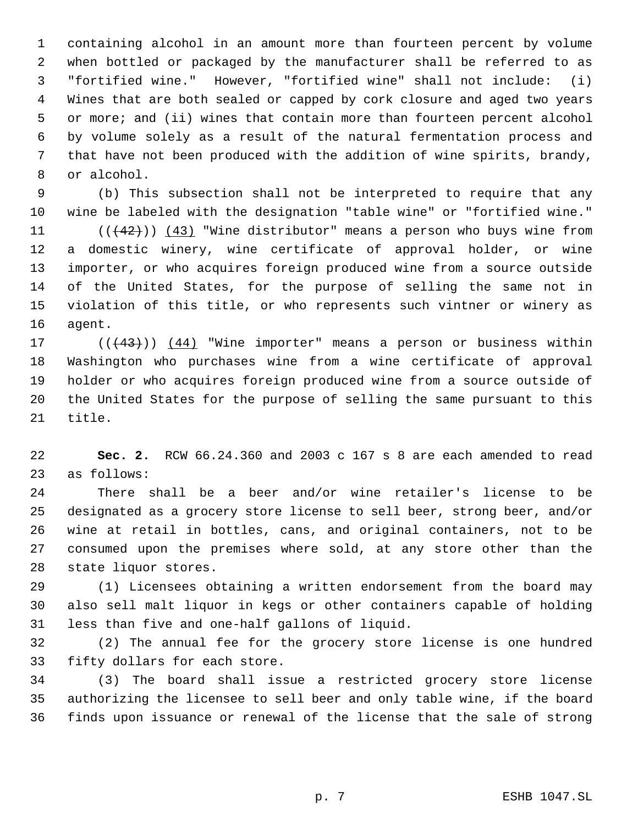containing alcohol in an amount more than fourteen percent by volume when bottled or packaged by the manufacturer shall be referred to as "fortified wine." However, "fortified wine" shall not include: (i) Wines that are both sealed or capped by cork closure and aged two years or more; and (ii) wines that contain more than fourteen percent alcohol by volume solely as a result of the natural fermentation process and that have not been produced with the addition of wine spirits, brandy, or alcohol.

 (b) This subsection shall not be interpreted to require that any wine be labeled with the designation "table wine" or "fortified wine."  $((42))$   $(43)$  "Wine distributor" means a person who buys wine from a domestic winery, wine certificate of approval holder, or wine importer, or who acquires foreign produced wine from a source outside of the United States, for the purpose of selling the same not in violation of this title, or who represents such vintner or winery as agent.

 $((+43))$   $(44)$  "Wine importer" means a person or business within Washington who purchases wine from a wine certificate of approval holder or who acquires foreign produced wine from a source outside of the United States for the purpose of selling the same pursuant to this title.

 **Sec. 2.** RCW 66.24.360 and 2003 c 167 s 8 are each amended to read as follows:

 There shall be a beer and/or wine retailer's license to be designated as a grocery store license to sell beer, strong beer, and/or wine at retail in bottles, cans, and original containers, not to be consumed upon the premises where sold, at any store other than the state liquor stores.

 (1) Licensees obtaining a written endorsement from the board may also sell malt liquor in kegs or other containers capable of holding less than five and one-half gallons of liquid.

 (2) The annual fee for the grocery store license is one hundred fifty dollars for each store.

 (3) The board shall issue a restricted grocery store license authorizing the licensee to sell beer and only table wine, if the board finds upon issuance or renewal of the license that the sale of strong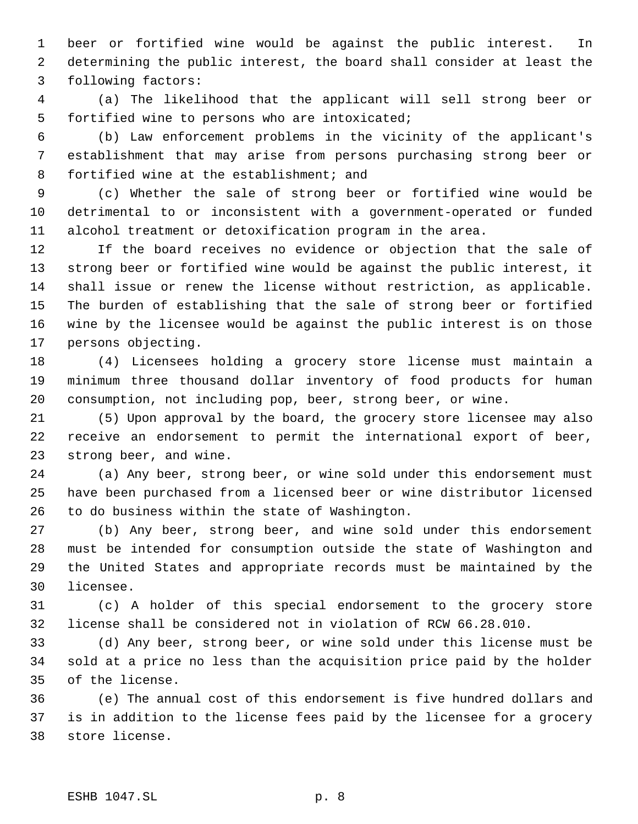beer or fortified wine would be against the public interest. In determining the public interest, the board shall consider at least the following factors:

 (a) The likelihood that the applicant will sell strong beer or fortified wine to persons who are intoxicated;

 (b) Law enforcement problems in the vicinity of the applicant's establishment that may arise from persons purchasing strong beer or fortified wine at the establishment; and

 (c) Whether the sale of strong beer or fortified wine would be detrimental to or inconsistent with a government-operated or funded alcohol treatment or detoxification program in the area.

 If the board receives no evidence or objection that the sale of strong beer or fortified wine would be against the public interest, it shall issue or renew the license without restriction, as applicable. The burden of establishing that the sale of strong beer or fortified wine by the licensee would be against the public interest is on those persons objecting.

 (4) Licensees holding a grocery store license must maintain a minimum three thousand dollar inventory of food products for human consumption, not including pop, beer, strong beer, or wine.

 (5) Upon approval by the board, the grocery store licensee may also receive an endorsement to permit the international export of beer, strong beer, and wine.

 (a) Any beer, strong beer, or wine sold under this endorsement must have been purchased from a licensed beer or wine distributor licensed to do business within the state of Washington.

 (b) Any beer, strong beer, and wine sold under this endorsement must be intended for consumption outside the state of Washington and the United States and appropriate records must be maintained by the licensee.

 (c) A holder of this special endorsement to the grocery store license shall be considered not in violation of RCW 66.28.010.

 (d) Any beer, strong beer, or wine sold under this license must be sold at a price no less than the acquisition price paid by the holder of the license.

 (e) The annual cost of this endorsement is five hundred dollars and is in addition to the license fees paid by the licensee for a grocery store license.